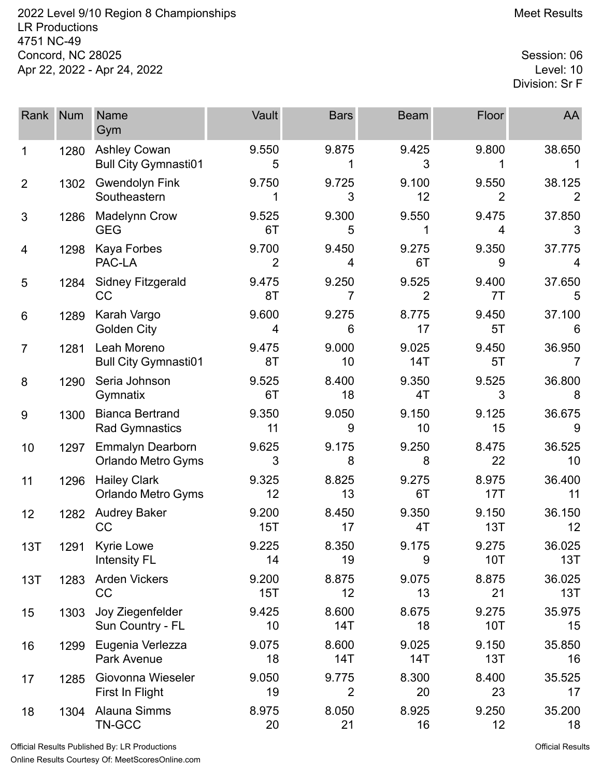2022 Level 9/10 Region 8 Championships **Meet Results** Meet Results LR Productions 4751 NC-49 Concord, NC 28025 Session: 06<br>Apr 22, 2022 - Apr 24, 2022 Apr 22, 2022 - Apr 24, 2022

Division: Sr F

| Rank           | <b>Num</b> | <b>Name</b><br>Gym                                   | Vault        | <b>Bars</b>             | <b>Beam</b>  | <b>Floor</b>            | AA            |
|----------------|------------|------------------------------------------------------|--------------|-------------------------|--------------|-------------------------|---------------|
| 1              | 1280       | <b>Ashley Cowan</b><br><b>Bull City Gymnasti01</b>   | 9.550<br>5   | 9.875                   | 9.425<br>3   | 9.800                   | 38.650        |
| $\overline{2}$ | 1302       | <b>Gwendolyn Fink</b><br>Southeastern                | 9.750        | 9.725<br>3              | 9.100<br>12  | 9.550<br>$\overline{2}$ | 38.125        |
| 3              | 1286       | <b>Madelynn Crow</b><br><b>GEG</b>                   | 9.525<br>6T  | 9.300<br>5              | 9.550        | 9.475<br>4              | 37.850<br>3   |
| 4              | 1298       | <b>Kaya Forbes</b><br>PAC-LA                         | 9.700<br>2   | 9.450<br>4              | 9.275<br>6T  | 9.350<br>9              | 37.775<br>4   |
| 5              | 1284       | <b>Sidney Fitzgerald</b><br>CC                       | 9.475<br>8T  | 9.250<br>7              | 9.525<br>2   | 9.400<br>7T             | 37.650<br>5   |
| 6              | 1289       | Karah Vargo<br><b>Golden City</b>                    | 9.600<br>4   | 9.275<br>6              | 8.775<br>17  | 9.450<br>5T             | 37.100<br>6   |
| $\overline{7}$ | 1281       | Leah Moreno<br><b>Bull City Gymnasti01</b>           | 9.475<br>8T  | 9.000<br>10             | 9.025<br>14T | 9.450<br>5T             | 36.950        |
| 8              | 1290       | Seria Johnson<br>Gymnatix                            | 9.525<br>6T  | 8.400<br>18             | 9.350<br>4T  | 9.525<br>3              | 36.800<br>8   |
| 9              | 1300       | <b>Bianca Bertrand</b><br><b>Rad Gymnastics</b>      | 9.350<br>11  | 9.050<br>9              | 9.150<br>10  | 9.125<br>15             | 36.675<br>9   |
| 10             | 1297       | <b>Emmalyn Dearborn</b><br><b>Orlando Metro Gyms</b> | 9.625<br>3   | 9.175<br>8              | 9.250<br>8   | 8.475<br>22             | 36.525<br>10  |
| 11             | 1296       | <b>Hailey Clark</b><br><b>Orlando Metro Gyms</b>     | 9.325<br>12  | 8.825<br>13             | 9.275<br>6T  | 8.975<br>17T            | 36.400<br>11  |
| 12             | 1282       | <b>Audrey Baker</b><br>CC                            | 9.200<br>15T | 8.450<br>17             | 9.350<br>4T  | 9.150<br>13T            | 36.150<br>12  |
| 13T            | 1291       | <b>Kyrie Lowe</b><br><b>Intensity FL</b>             | 9.225<br>14  | 8.350<br>19             | 9.175<br>9   | 9.275<br>10T            | 36.025<br>13T |
| 13T            | 1283       | <b>Arden Vickers</b><br>CC                           | 9.200<br>15T | 8.875<br>12             | 9.075<br>13  | 8.875<br>21             | 36.025<br>13T |
| 15             | 1303       | Joy Ziegenfelder<br>Sun Country - FL                 | 9.425<br>10  | 8.600<br>14T            | 8.675<br>18  | 9.275<br><b>10T</b>     | 35.975<br>15  |
| 16             | 1299       | Eugenia Verlezza<br>Park Avenue                      | 9.075<br>18  | 8.600<br>14T            | 9.025<br>14T | 9.150<br>13T            | 35.850<br>16  |
| 17             | 1285       | Giovonna Wieseler<br>First In Flight                 | 9.050<br>19  | 9.775<br>$\overline{2}$ | 8.300<br>20  | 8.400<br>23             | 35.525<br>17  |
| 18             | 1304       | Alauna Simms<br>TN-GCC                               | 8.975<br>20  | 8.050<br>21             | 8.925<br>16  | 9.250<br>12             | 35.200<br>18  |